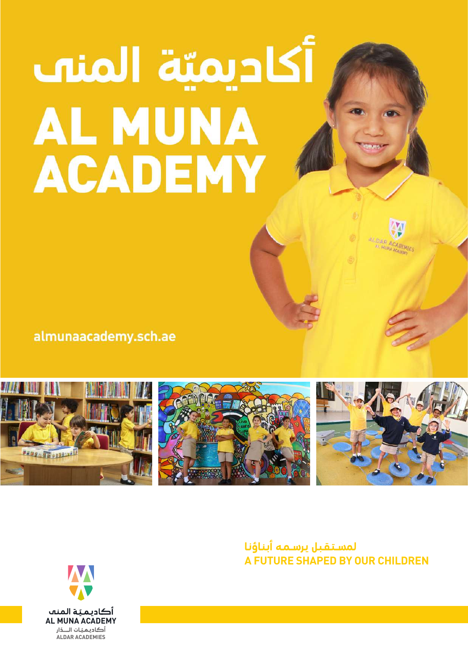# أكاديميّة المنت **AL MUNA ACADEMY**

almunaacademy.sch.ae



**لـمســـتــقــبــل يــرســـمــه أبــنــاؤنــا A FUTURE SHAPED BY OUR CHILDREN**

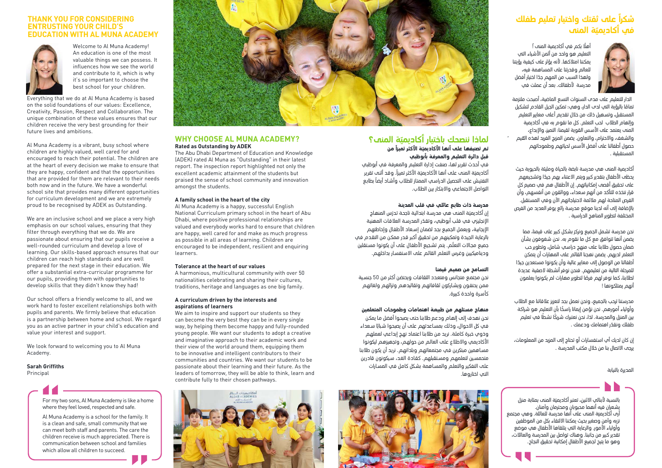# **ً على ثقتك واختيار تعليم طفلك شكرا ّة المنى في أكاديمي**

ً .<br>أهلًا بكم في أكاديمية المن*ه* ! التعليم هو واحد من أثمن الأشياء الت<sup>ي</sup> ىمكننا امتلاكها. لأنه بؤثر على كىفية رؤيتنا للعالم وقدرتنا على المساهمة فيه، م<br>ولهذا السبب من المهم جدًا اختيار أفضل مدرسة الأطفالك. بعد أن عملت فڢ



الدار للتعليم على مدى السنوات التسع الماضية، أصبحت ملتزمة س<br>تمامًا بالرؤية التي لحب الحار، وهي: تمكين الجيل القادم لتشكيل المستقبل، وتسهيل خلك من خلال تقديم أعلف معايير التعليم وإلهام الطلاب لحب التعلم. كل ما نقوم به في أكاديمية المنه بعتمد عله الأسس القوية لقيمنا: التميز، والإيداع، .<br>والشغف، والاحترام، والتعاون. يضمن المزيج الفري*د لُهذه القيم* حصول أطفالنا على أفضل الأسس لحىاتهم وطموحاتهم المستقىلىق

أكادىمىة المنه هه مدرسة ناىضة بالحياة ومليئة بالحبوبة حيث ِ<br>يحظف الأطفال بتقحير كبير ويتم الاعتناء بهم جيدًا وتشجيعهم عله تحقيق أقصه إمكانياتهم. إن الأطفال هم في صميم كل قرار نتخذه للتأكد من أنهم سعداء، وواثقون من أنفسهم، وأن الفرص المتاحة لهم ملائمة لاحتىاحاتهم الآن وفڢ المستقبل. بالإضافة إلى أنه لدينا موقع مدرسة رائع يوفر العديد من الفرص المختلفة لتطوير المناهج ال*ح*راسية .

نحن محرسة تشمل الجميع ونركز بشكل كبير علم قيمنا، مما يضمن أنها تتوافق مع كل ما نقوم به. نحن شغوفون بشأن ضمان حصول طلابنا علَّب منهج دراسپ شامل، وتطوير حب التعلم لديهم. يضمن نهجنا القائم على المهارات أن ىمكن .<br>أطفالنا من الوصول إله معايير عالية وأن يكونوا مستعدين جيدًا للمرحلة التالية من تعليمهم. فنحن نوفر أنشطة لاصفية عجيدة ۔<br>لطلابنا، کما نوفر لھم فرمًا لتطویر مھارات لم یکونوا یعلمون أنهم يمتلكونها !

مدرستنا ترحب بالجميع، ونحن نعمل بجد لتعزيز علاقاتنا مع الطلاب حدرجمہ ہو۔ جب چینے و دی دیوں ہے تعریر دد دھ می جسم<br>وأولياء أمورهم. نحن نؤمن إيمانا راسخًا بأن التعليم هو شراكة و.وبيء ،عورهم. حن نومن <sub>ين</sub>يناد رامنت بان الصبيم هو منزلت<br>بين المنزل والمدرسة. لذا، نحن نعتبرك شريكًا نشطًا في تعليم …<br>طفلك ونقدّر اهتمامك ودعمك .

ِأن كان لديك أب استفسارات أو تحتاج إل<sub>َ</sub>ب المزيد من المعلومات، برحڢ الاتصال بنا من خلال مكتب المحرسة .

فـي أحـدث تقريـر لهـا، صنفـت إدارة التعليـم والمعرفـة فـي أبوظبـي ์<br>เ أكاديميّة المنه عله أنها الأكاديميّة الأكثر تميزاً. وقد أثنه تقرير ً بطابـع التفتيـش علـى التحصيـل الدراسـي الممتـاز للطـب وأشـاد أيضـا .<br>التواصل الاحتماعـي والابتكار بين الطلاب

المديرة بالنيابة

## **ّة المنى؟ لماذا ننصحك باختيار أكاديمي**

#### **ً مـن ـة اكثـر تميـزا تـم تصنيفهـا علـى أنهـا اكاديمي ّقبـل دائـرة التعليـم والمعرفـة بأبوظبـي**

#### **مدرسـة ذات طابـع عائلـي فـي قلـب المدينـة**

.<br>إن أكاديميّة المنب هي مدرسة ابتدائية ناجحة تحرّس المنهاج ֦֧֦֧֦֧<u>֓</u> الإنجليزي في قلب ابوظبي، وتقدّر المدرسة العلاقات المهنية الابحابية، ويعمل الجميع بجد لضمان إسبعاد الأطفال وإحاطتهم بالرعايـة الجيـدة وتمكينـم مـن تحقيـق أكبـر قـدر ممكـن مـن التقـدم فـي ֧֞֝֜֜֜֜֜֜ جميع مجالات التعلم. يتم تشجيع الاطفال على ان يكونوا مسـتقلين وديناميكيين وغرس التعلم القائم على الاستفسـار بداخلهم.

#### **التسـامح مـن صميـم قيمنـا**

نحـن مجتمـع متجانـس ومتعـدد الثقافـات ويحتضـن أكثـر مـن 50 جنسـية ممن يحتفون ويشـاركون ثقافاتهم وتقاليدهم وتراثهم ولغاتهم كأسـرة واحـدة كبيرة.

> بالنسبة لأبنائي الاثنين، تعتبر أكاديميّة المنت بمثابة منزل يشعران فيه أنهما محبوبان ومحترمان وآمنان. ّة المنى على أنها مدرسة للعائلة. وهي مجتمع أرى أكاديمي .<br>نزيه وآمن وصغير بحيث يمكننا الالتقاء بكل من الموظفين وأولياء الأمور. والرعاية التي يتلقاها الأطفال هي موضع تقدير كبير من جانبنا. وهناك تواصل بين المدرسة والعائت، وهو ما يتيح لجميع اطفال إمكانية تحقيق النجاح.

#### **منهـاج مسـتلم مـن طبيعـة اهتمامـات وطموحـات المتعلميـن**

نحـن نهـدف إلـى إلهـام ودعـم طبنـا حتـى يصبحـوا أفضـل مـا يمكـن .<br>في كل الاحوال، وذلك بمساعدتهم على أن يصبحوا شبابًا سـعداء وذوف خبرة كاملة. نريد من طلابنا اعتماد ن*م*د إبداعها لعمل*م*م الأكاديمـي والاطلاع على العالم من حولهم، وتجهيزهم ليكونوا مسـاهمين مبتكرين فـي مجتمعاتهـم وبلدانهـم. نريد أن يكون طلابنا متحمسـين لتعلمـم ومسـتقبلم. كقـادة الغـد، سـيكونون قادريـن علـى التفكيـر والتعلـم والمسـاهمة بشـكل كامـل فـي المسـارات التـي اختاروها.



#### **WHY CHOOSE AL MUNA ACADEMY? Rated as Outstanding by ADEK**

The Abu Dhabi Department of Education and Knowledge (ADEK) rated Al Muna as "Outstanding" in their latest report. The inspection report highlighted not only the excellent academic attainment of the students but praised the sense of school community and innovation amongst the students.

We are an inclusive school and we place a very high emphasis on our school values, ensuring that they filter through everything that we do. We are passionate about ensuring that our pupils receive a well-rounded curriculum and develop a love of learning. Our skills-based approach ensures that our children can reach high standards and are well prepared for the next stage in their education. We offer a substantial extra-curricular programme for our pupils, providing them with opportunities to develop skills that they didn't know they had!

#### **A family school in the heart of the city**

#### **Sarah Griffiths** Principal

Al Muna Academy is a happy, successful English National Curriculum primary school in the heart of Abu Dhabi, where positive professional relationships are valued and everybody works hard to ensure that children are happy, well cared for and make as much progress as possible in all areas of learning. Children are encouraged to be independent, resilient and enquiring learners.

#### **Tolerance at the heart of our values**

A harmonious, multicultural community with over 50 nationalities celebrating and sharing their cultures, traditions, heritage and languages as one big family.

#### **A curriculum driven by the interests and aspirations of learners**

We aim to inspire and support our students so they can become the very best they can be in every single way, by helping them become happy and fully-rounded young people. We want our students to adopt a creative and imaginative approach to their academic work and their view of the world around them, equipping them to be innovative and intelligent contributors to their communities and countries. We want our students to be passionate about their learning and their future. As the leaders of tomorrow, they will be able to think, learn and contribute fully to their chosen pathways.



For my two sons, Al Muna Academy is like a home where they feel loved, respected and safe.

Al Muna Academy is a school for the family. It is a clean and safe, small community that we can meet both staff and parents. The care the children receive is much appreciated. There is communication between school and families which allow all children to succeed.



#### **THANK YOU FOR CONSIDERING ENTRUSTING YOUR CHILD'S EDUCATION WITH AL MUNA ACADEMY**



Welcome to Al Muna Academy! An education is one of the most valuable things we can possess. It influences how we see the world and contribute to it, which is why it's so important to choose the best school for your children.

Everything that we do at Al Muna Academy is based on the solid foundations of our values: Excellence, Creativity, Passion, Respect and Collaboration. The unique combination of these values ensures that our children receive the very best grounding for their future lives and ambitions.

Al Muna Academy is a vibrant, busy school where children are highly valued, well cared for and encouraged to reach their potential. The children are at the heart of every decision we make to ensure that they are happy, confident and that the opportunities that are provided for them are relevant to their needs both now and in the future. We have a wonderful school site that provides many different opportunities for curriculum development and we are extremely proud to be recognised by ADEK as Outstanding.

Our school offers a friendly welcome to all, and we work hard to foster excellent relationships both with pupils and parents. We firmly believe that education is a partnership between home and school. We regard you as an active partner in your child's education and value your interest and support.

We look forward to welcoming you to Al Muna Academy.